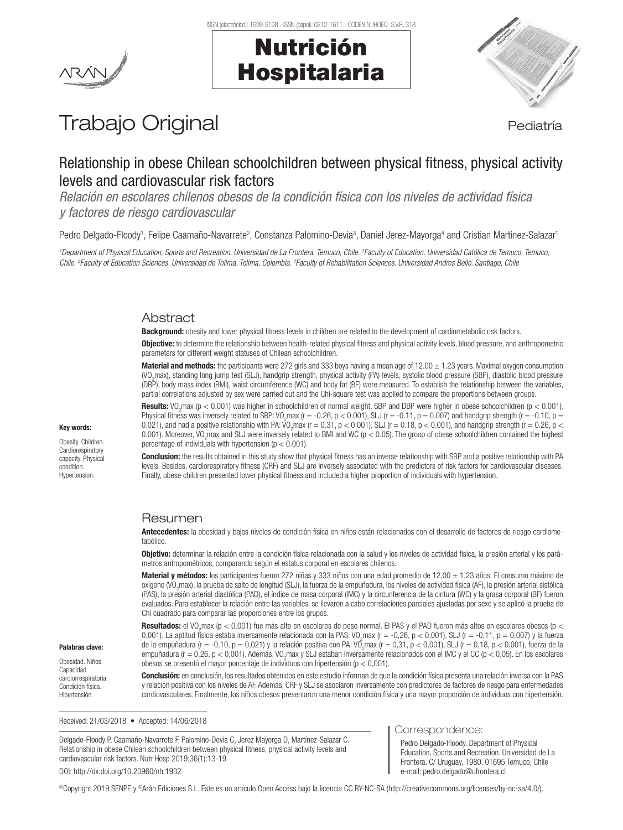

# Nutrición Hospitalaria



# Trabajo Original en el estatubación de la pediatría

# Relationship in obese Chilean schoolchildren between physical fitness, physical activity levels and cardiovascular risk factors

*Relación en escolares chilenos obesos de la condición física con los niveles de actividad física y factores de riesgo cardiovascular*

Pedro Delgado-Floody<sup>1</sup>, Felipe Caamaño-Navarrete<sup>2</sup>, Constanza Palomino-Devia<sup>3</sup>, Daniel Jerez-Mayorga<sup>4</sup> and Cristian Martínez-Salazar<sup>1</sup>

*1 Department of Physical Education, Sports and Recreation. Universidad de La Frontera. Temuco, Chile. 2 Faculty of Education. Universidad Católica de Temuco. Temuco,*  Chile. <sup>3</sup>Faculty of Education Sciences. Universidad de Tolima. Tolima, Colombia. <sup>4</sup>Faculty of Rehabilitation Sciences. Universidad Andres Bello. Santiago, Chile

# Abstract

Background: obesity and lower physical fitness levels in children are related to the development of cardiometabolic risk factors.

**Objective:** to determine the relationship between health-related physical fitness and physical activity levels, blood pressure, and anthropometric parameters for different weight statuses of Chilean schoolchildren.

**Material and methods:** the participants were 272 girls and 333 boys having a mean age of  $12.00 \pm 1.23$  years. Maximal oxygen consumption (VO2 max), standing long jump test (SLJ), handgrip strength, physical activity (PA) levels, systolic blood pressure (SBP), diastolic blood pressure (DBP), body mass index (BMI), waist circumference (WC) and body fat (BF) were measured. To establish the relationship between the variables, partial correlations adjusted by sex were carried out and the Chi-square test was applied to compare the proportions between groups.

**Results:** VO<sub>2</sub>max (p < 0.001) was higher in schoolchildren of normal weight. SBP and DBP were higher in obese schoolchildren (p < 0.001). Physical fitness was inversely related to SBP: VO<sub>2</sub>max (r = -0.26, p < 0.001), SLJ (r = -0.11, p = 0.007) and handgrip strength (r = -0.10, p = 0.021), and had a positive relationship with PA:  $\sqrt{V}$ <sub>2</sub>max (r = 0.31, p < 0.001), SLJ (r = 0.18, p < 0.001), and handgrip strength (r = 0.26, p < 0.001). Moreover, VO<sub>2</sub>max and SLJ were inversely related to BMI and WC (p < 0.05). The group of obese schoolchildren contained the highest percentage of individuals with hypertension ( $p < 0.001$ ).

**Conclusion:** the results obtained in this study show that physical fitness has an inverse relationship with SBP and a positive relationship with PA levels. Besides, cardiorespiratory fitness (CRF) and SLJ are inversely associated with the predictors of risk factors for cardiovascular diseases. Finally, obese children presented lower physical fitness and included a higher proportion of individuals with hypertension.

# Resumen

Antecedentes: la obesidad y bajos niveles de condición física en niños están relacionados con el desarrollo de factores de riesgo cardiometabólico.

Objetivo: determinar la relación entre la condición física relacionada con la salud y los niveles de actividad física, la presión arterial y los parámetros antropométricos, comparando según el estatus corporal en escolares chilenos.

Material y métodos: los participantes fueron 272 niñas y 333 niños con una edad promedio de 12,00  $\pm$  1,23 años. El consumo máximo de oxígeno (VO<sub>2</sub>max), la prueba de salto de longitud (SLJ), la fuerza de la empuñadura, los niveles de actividad física (AF), la presión arterial sistólica (PAS), la presión arterial diastólica (PAD), el índice de masa corporal (IMC) y la circunferencia de la cintura (WC) y la grasa corporal (BF) fueron evaluados. Para establecer la relación entre las variables, se llevaron a cabo correlaciones parciales ajustadas por sexo y se aplicó la prueba de Chi cuadrado para comparar las proporciones entre los grupos.

**Resultados:** el VO<sub>2</sub>max (p < 0,001) fue más alto en escolares de peso normal. El PAS y el PAD fueron más altos en escolares obesos (p < 0,001). La aptitud física estaba inversamente relacionada con la PAS: VO<sub>2</sub>max (r = -0,26, p < 0,001), SLJ (r = -0,11, p = 0,007) y la fuerza de la empuñadura (r = -0,10, p = 0,021) y la relación positiva con PA: VO<sub>2</sub>max (r = 0,31, p < 0,001), SLJ (r = 0,18, p < 0,001), fuerza de la empuñadura (r = 0,26, p < 0,001). Además, VO<sub>2</sub>max y SLJ estaban inversamente relacionados con el IMC y el CC (p < 0,05). En los escolares obesos se presentó el mayor porcentaje de individuos con hipertensión (p < 0,001).

Conclusión: en conclusión, los resultados obtenidos en este estudio informan de que la condición física presenta una relación inversa con la PAS y relación positiva con los niveles de AF. Además, CRF y SLJ se asociaron inversamente con predictores de factores de riesgo para enfermedades cardiovasculares. Finalmente, los niños obesos presentaron una menor condición física y una mayor proporción de individuos con hipertensión.

Received: 21/03/2018 • Accepted: 14/06/2018

Delgado-Floody P, Caamaño-Navarrete F, Palomino-Devia C, Jerez Mayorga D, Martínez-Salazar C. Relationship in obese Chilean schoolchildren between physical fitness, physical activity levels and cardiovascular risk factors. Nutr Hosp 2019;36(1):13-19 DOI: http://dx.doi.org/10.20960/nh.1932

#### Correspondence:

Pedro Delgado-Floody. Department of Physical Education, Sports and Recreation. Universidad de La Frontera. C/ Uruguay, 1980. 01695 Temuco, Chile e-mail: pedro.delgado@ufrontera.cl

©Copyright 2019 SENPE y ©Arán Ediciones S.L. Este es un artículo Open Access bajo la licencia CC BY-NC-SA (http://creativecommons.org/licenses/by-nc-sa/4.0/).

#### Key words:

Obesity. Children. **Cardiorespiratory** capacity. Physical condition. Hypertension.

Palabras clave: Obesidad. Niños. Capacidad cardiorrespiratoria. Condición física. Hipertensión.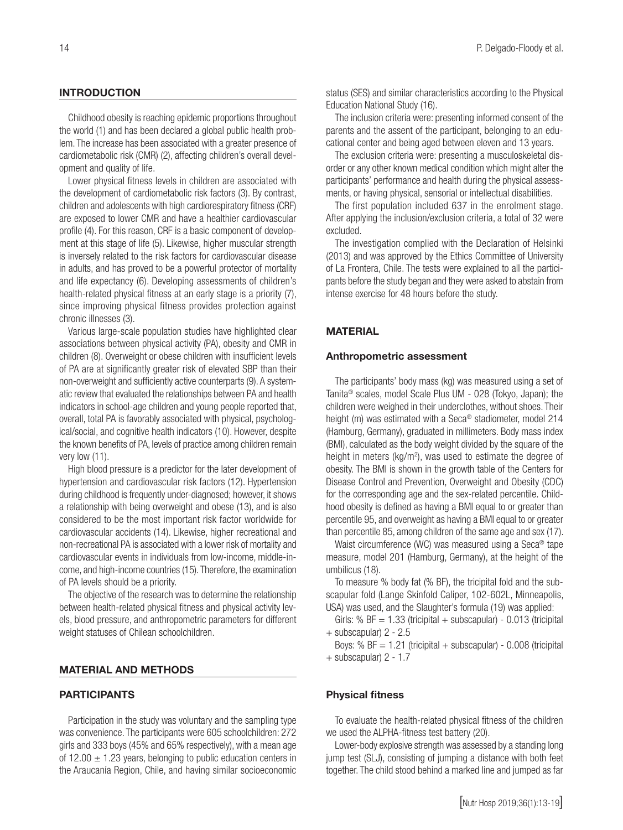## INTRODUCTION

Childhood obesity is reaching epidemic proportions throughout the world (1) and has been declared a global public health problem. The increase has been associated with a greater presence of cardiometabolic risk (CMR) (2), affecting children's overall development and quality of life.

Lower physical fitness levels in children are associated with the development of cardiometabolic risk factors (3). By contrast, children and adolescents with high cardiorespiratory fitness (CRF) are exposed to lower CMR and have a healthier cardiovascular profile (4). For this reason, CRF is a basic component of development at this stage of life (5). Likewise, higher muscular strength is inversely related to the risk factors for cardiovascular disease in adults, and has proved to be a powerful protector of mortality and life expectancy (6). Developing assessments of children's health-related physical fitness at an early stage is a priority (7), since improving physical fitness provides protection against chronic illnesses (3).

Various large-scale population studies have highlighted clear associations between physical activity (PA), obesity and CMR in children (8). Overweight or obese children with insufficient levels of PA are at significantly greater risk of elevated SBP than their non-overweight and sufficiently active counterparts (9). A systematic review that evaluated the relationships between PA and health indicators in school-age children and young people reported that, overall, total PA is favorably associated with physical, psychological/social, and cognitive health indicators (10). However, despite the known benefits of PA, levels of practice among children remain very low (11).

High blood pressure is a predictor for the later development of hypertension and cardiovascular risk factors (12). Hypertension during childhood is frequently under-diagnosed; however, it shows a relationship with being overweight and obese (13), and is also considered to be the most important risk factor worldwide for cardiovascular accidents (14). Likewise, higher recreational and non-recreational PA is associated with a lower risk of mortality and cardiovascular events in individuals from low-income, middle-income, and high-income countries (15). Therefore, the examination of PA levels should be a priority.

The objective of the research was to determine the relationship between health-related physical fitness and physical activity levels, blood pressure, and anthropometric parameters for different weight statuses of Chilean schoolchildren.

#### MATERIAL AND METHODS

### PARTICIPANTS

Participation in the study was voluntary and the sampling type was convenience. The participants were 605 schoolchildren: 272 girls and 333 boys (45% and 65% respectively), with a mean age of 12.00  $\pm$  1.23 years, belonging to public education centers in the Araucanía Region, Chile, and having similar socioeconomic

status (SES) and similar characteristics according to the Physical Education National Study (16).

The inclusion criteria were: presenting informed consent of the parents and the assent of the participant, belonging to an educational center and being aged between eleven and 13 years.

The exclusion criteria were: presenting a musculoskeletal disorder or any other known medical condition which might alter the participants' performance and health during the physical assessments, or having physical, sensorial or intellectual disabilities.

The first population included 637 in the enrolment stage. After applying the inclusion/exclusion criteria, a total of 32 were excluded.

The investigation complied with the Declaration of Helsinki (2013) and was approved by the Ethics Committee of University of La Frontera, Chile. The tests were explained to all the participants before the study began and they were asked to abstain from intense exercise for 48 hours before the study.

#### **MATERIAL**

#### Anthropometric assessment

The participants' body mass (kg) was measured using a set of Tanita® scales, model Scale Plus UM - 028 (Tokyo, Japan); the children were weighed in their underclothes, without shoes. Their height (m) was estimated with a Seca<sup>®</sup> stadiometer, model 214 (Hamburg, Germany), graduated in millimeters. Body mass index (BMI), calculated as the body weight divided by the square of the height in meters ( $kg/m<sup>2</sup>$ ), was used to estimate the degree of obesity. The BMI is shown in the growth table of the Centers for Disease Control and Prevention, Overweight and Obesity (CDC) for the corresponding age and the sex-related percentile. Childhood obesity is defined as having a BMI equal to or greater than percentile 95, and overweight as having a BMI equal to or greater than percentile 85, among children of the same age and sex (17).

Waist circumference (WC) was measured using a Seca® tape measure, model 201 (Hamburg, Germany), at the height of the umbilicus (18).

To measure % body fat (% BF), the tricipital fold and the subscapular fold (Lange Skinfold Caliper, 102-602L, Minneapolis, USA) was used, and the Slaughter's formula (19) was applied:

Girls: %  $BF = 1.33$  (tricipital + subscapular) - 0.013 (tricipital + subscapular) 2 - 2.5

Boys: %  $BF = 1.21$  (tricipital + subscapular) - 0.008 (tricipital + subscapular) 2 - 1.7

#### Physical fitness

To evaluate the health-related physical fitness of the children we used the ALPHA-fitness test battery (20).

Lower-body explosive strength was assessed by a standing long jump test (SLJ), consisting of jumping a distance with both feet together. The child stood behind a marked line and jumped as far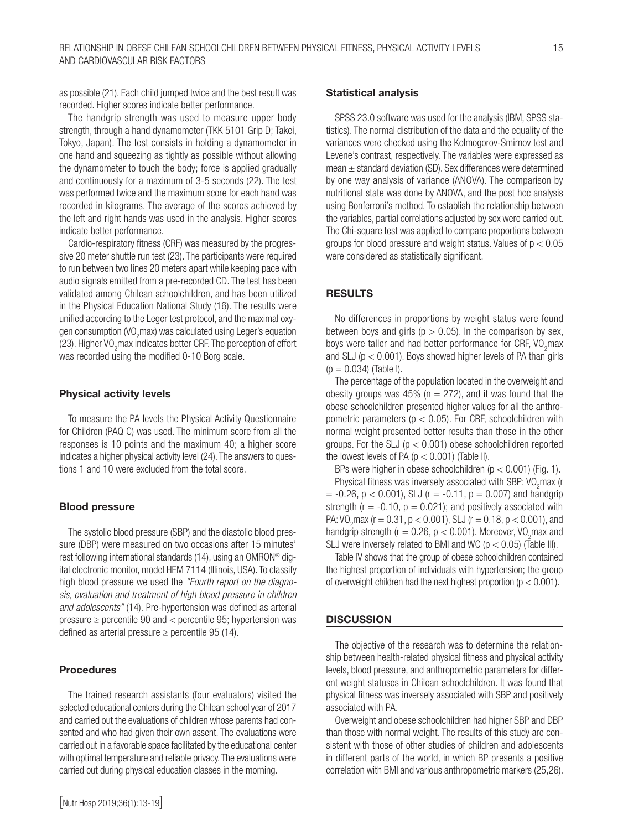as possible (21). Each child jumped twice and the best result was recorded. Higher scores indicate better performance.

The handgrip strength was used to measure upper body strength, through a hand dynamometer (TKK 5101 Grip D; Takei, Tokyo, Japan). The test consists in holding a dynamometer in one hand and squeezing as tightly as possible without allowing the dynamometer to touch the body; force is applied gradually and continuously for a maximum of 3-5 seconds (22). The test was performed twice and the maximum score for each hand was recorded in kilograms. The average of the scores achieved by the left and right hands was used in the analysis. Higher scores indicate better performance.

Cardio-respiratory fitness (CRF) was measured by the progressive 20 meter shuttle run test (23). The participants were required to run between two lines 20 meters apart while keeping pace with audio signals emitted from a pre-recorded CD. The test has been validated among Chilean schoolchildren, and has been utilized in the Physical Education National Study (16). The results were unified according to the Leger test protocol, and the maximal oxygen consumption (VO<sub>2</sub>max) was calculated using Leger's equation (23). Higher VO<sub>2</sub>max indicates better CRF. The perception of effort was recorded using the modified 0-10 Borg scale.

#### Physical activity levels

To measure the PA levels the Physical Activity Questionnaire for Children (PAQ C) was used. The minimum score from all the responses is 10 points and the maximum 40; a higher score indicates a higher physical activity level (24). The answers to questions 1 and 10 were excluded from the total score.

#### Blood pressure

The systolic blood pressure (SBP) and the diastolic blood pressure (DBP) were measured on two occasions after 15 minutes' rest following international standards (14), using an OMRON® digital electronic monitor, model HEM 7114 (Illinois, USA). To classify high blood pressure we used the *"Fourth report on the diagnosis, evaluation and treatment of high blood pressure in children and adolescents"* (14). Pre-hypertension was defined as arterial pressure  $\geq$  percentile 90 and  $\lt$  percentile 95; hypertension was defined as arterial pressure  $\geq$  percentile 95 (14).

#### Procedures

The trained research assistants (four evaluators) visited the selected educational centers during the Chilean school year of 2017 and carried out the evaluations of children whose parents had consented and who had given their own assent. The evaluations were carried out in a favorable space facilitated by the educational center with optimal temperature and reliable privacy. The evaluations were carried out during physical education classes in the morning.

#### Statistical analysis

SPSS 23.0 software was used for the analysis (IBM, SPSS statistics). The normal distribution of the data and the equality of the variances were checked using the Kolmogorov-Smirnov test and Levene's contrast, respectively. The variables were expressed as mean  $\pm$  standard deviation (SD). Sex differences were determined by one way analysis of variance (ANOVA). The comparison by nutritional state was done by ANOVA, and the post hoc analysis using Bonferroni's method. To establish the relationship between the variables, partial correlations adjusted by sex were carried out. The Chi-square test was applied to compare proportions between groups for blood pressure and weight status. Values of  $p < 0.05$ were considered as statistically significant.

#### **RESULTS**

No differences in proportions by weight status were found between boys and girls ( $p > 0.05$ ). In the comparison by sex, boys were taller and had better performance for CRF, VO<sub>2</sub>max and SLJ ( $p < 0.001$ ). Boys showed higher levels of PA than girls  $(p = 0.034)$  (Table I).

The percentage of the population located in the overweight and obesity groups was 45% ( $n = 272$ ), and it was found that the obese schoolchildren presented higher values for all the anthropometric parameters ( $p < 0.05$ ). For CRF, schoolchildren with normal weight presented better results than those in the other groups. For the SLJ ( $p < 0.001$ ) obese schoolchildren reported the lowest levels of PA ( $p < 0.001$ ) (Table II).

BPs were higher in obese schoolchildren ( $p < 0.001$ ) (Fig. 1).

Physical fitness was inversely associated with SBP:  $VO_2$ max (r  $= -0.26$ , p < 0.001), SLJ (r =  $-0.11$ , p = 0.007) and handgrip strength ( $r = -0.10$ ,  $p = 0.021$ ); and positively associated with PA:  $VO<sub>2</sub>$ max (r = 0.31, p < 0.001), SLJ (r = 0.18, p < 0.001), and handgrip strength ( $r = 0.26$ ,  $p < 0.001$ ). Moreover, VO<sub>2</sub> max and SLJ were inversely related to BMI and WC ( $p < 0.05$ ) (Table III).

Table IV shows that the group of obese schoolchildren contained the highest proportion of individuals with hypertension; the group of overweight children had the next highest proportion ( $p < 0.001$ ).

### **DISCUSSION**

The objective of the research was to determine the relationship between health-related physical fitness and physical activity levels, blood pressure, and anthropometric parameters for different weight statuses in Chilean schoolchildren. It was found that physical fitness was inversely associated with SBP and positively associated with PA.

Overweight and obese schoolchildren had higher SBP and DBP than those with normal weight. The results of this study are consistent with those of other studies of children and adolescents in different parts of the world, in which BP presents a positive correlation with BMI and various anthropometric markers (25,26).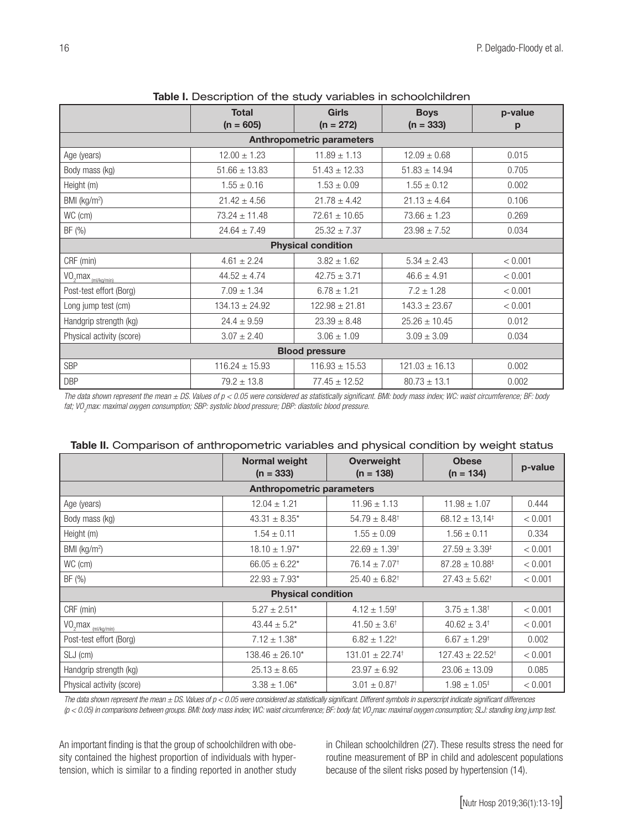|                                  | <b>Total</b><br>$(n = 605)$ | <b>Girls</b><br>$(n = 272)$ | <b>Boys</b><br>$(n = 333)$ | p-value<br>p |  |  |  |  |
|----------------------------------|-----------------------------|-----------------------------|----------------------------|--------------|--|--|--|--|
| <b>Anthropometric parameters</b> |                             |                             |                            |              |  |  |  |  |
| Age (years)                      | $12.00 \pm 1.23$            | $11.89 \pm 1.13$            | $12.09 \pm 0.68$           | 0.015        |  |  |  |  |
| Body mass (kg)                   | $51.66 \pm 13.83$           | $51.43 \pm 12.33$           | $51.83 \pm 14.94$          | 0.705        |  |  |  |  |
| Height (m)                       | $1.55 \pm 0.16$             | $1.53 \pm 0.09$             | $1.55 \pm 0.12$            | 0.002        |  |  |  |  |
| BMI (kg/m <sup>2</sup> )         | $21.42 \pm 4.56$            | $21.78 \pm 4.42$            | $21.13 \pm 4.64$           | 0.106        |  |  |  |  |
| WC (cm)                          | $73.24 \pm 11.48$           | $72.61 \pm 10.65$           | $73.66 \pm 1.23$           | 0.269        |  |  |  |  |
| BF (%)                           | $24.64 \pm 7.49$            | $25.32 \pm 7.37$            | $23.98 \pm 7.52$           | 0.034        |  |  |  |  |
| <b>Physical condition</b>        |                             |                             |                            |              |  |  |  |  |
| CRF (min)                        | $4.61 \pm 2.24$             | $3.82 \pm 1.62$             | $5.34 \pm 2.43$            | < 0.001      |  |  |  |  |
| $VO2max$ <sub>(ml/kg/min)</sub>  | $44.52 \pm 4.74$            | $42.75 \pm 3.71$            | $46.6 \pm 4.91$            | < 0.001      |  |  |  |  |
| Post-test effort (Borg)          | $7.09 \pm 1.34$             | $6.78 \pm 1.21$             | $7.2 \pm 1.28$             | < 0.001      |  |  |  |  |
| Long jump test (cm)              | $134.13 \pm 24.92$          | $122.98 \pm 21.81$          | $143.3 \pm 23.67$          | < 0.001      |  |  |  |  |
| Handgrip strength (kg)           | $24.4 \pm 9.59$             | $23.39 \pm 8.48$            | $25.26 \pm 10.45$          | 0.012        |  |  |  |  |
| Physical activity (score)        | $3.07 \pm 2.40$             | $3.06 \pm 1.09$             | $3.09 \pm 3.09$            | 0.034        |  |  |  |  |
| <b>Blood pressure</b>            |                             |                             |                            |              |  |  |  |  |
| <b>SBP</b>                       | $116.24 \pm 15.93$          | $116.93 \pm 15.53$          | $121.03 \pm 16.13$         | 0.002        |  |  |  |  |
| <b>DBP</b>                       | $79.2 \pm 13.8$             | $77.45 \pm 12.52$           | $80.73 \pm 13.1$           | 0.002        |  |  |  |  |

Table I. Description of the study variables in schoolchildren

*The data shown represent the mean ± DS. Values of p < 0.05 were considered as statistically significant. BMI: body mass index; WC: waist circumference; BF: body fat; VO2 max: maximal oxygen consumption; SBP: systolic blood pressure; DBP: diastolic blood pressure.* 

|                                    | Normal weight<br>$(n = 333)$                                | <b>Overweight</b><br>$(n = 138)$ | <b>Obese</b><br>$(n = 134)$  | p-value |  |  |  |  |  |
|------------------------------------|-------------------------------------------------------------|----------------------------------|------------------------------|---------|--|--|--|--|--|
| <b>Anthropometric parameters</b>   |                                                             |                                  |                              |         |  |  |  |  |  |
| Age (years)                        | $12.04 \pm 1.21$                                            | $11.96 \pm 1.13$                 | $11.98 \pm 1.07$             | 0.444   |  |  |  |  |  |
| Body mass (kg)                     | $43.31 \pm 8.35$ *                                          | $54.79 \pm 8.48^{\dagger}$       | $68.12 \pm 13.14^{\ddagger}$ | < 0.001 |  |  |  |  |  |
| Height (m)                         | $1.54 \pm 0.11$                                             | $1.55 \pm 0.09$                  | $1.56 \pm 0.11$              | 0.334   |  |  |  |  |  |
| BMI (kg/m <sup>2</sup> )           | $18.10 \pm 1.97*$                                           | $22.69 \pm 1.39^{\dagger}$       | $27.59 \pm 3.39^{\ddagger}$  | < 0.001 |  |  |  |  |  |
| WC (cm)                            | $66.05 \pm 6.22$ *                                          |                                  | $87.28 \pm 10.88^{\ddagger}$ | < 0.001 |  |  |  |  |  |
| BF (%)                             | $22.93 \pm 7.93$ <sup>*</sup><br>$25.40 \pm 6.82^{\dagger}$ |                                  | $27.43 \pm 5.62^{\dagger}$   | < 0.001 |  |  |  |  |  |
|                                    | <b>Physical condition</b>                                   |                                  |                              |         |  |  |  |  |  |
| CRF (min)                          | $5.27 \pm 2.51$ *                                           | $4.12 \pm 1.59^+$                | $3.75 \pm 1.38^{\dagger}$    | < 0.001 |  |  |  |  |  |
| $VO_2$ max $\frac{(m1/kg/min)}{m}$ | $43.44 \pm 5.2^*$                                           | $41.50 \pm 3.6^{\dagger}$        | $40.62 \pm 3.4^{\dagger}$    | < 0.001 |  |  |  |  |  |
| Post-test effort (Borg)            | $7.12 \pm 1.38^*$                                           | $6.82 \pm 1.22^{\dagger}$        | $6.67 \pm 1.29^{\dagger}$    | 0.002   |  |  |  |  |  |
| SLJ (cm)                           | $138.46 \pm 26.10^*$                                        | $131.01 \pm 22.74$ <sup>†</sup>  | $127.43 \pm 22.52^{\dagger}$ | < 0.001 |  |  |  |  |  |
| Handgrip strength (kg)             | $25.13 \pm 8.65$                                            | $23.97 \pm 6.92$                 | $23.06 \pm 13.09$            | 0.085   |  |  |  |  |  |
| Physical activity (score)          | $3.38 \pm 1.06^*$                                           | $3.01 \pm 0.87$ <sup>†</sup>     | $1.98 \pm 1.05^{\ddagger}$   | < 0.001 |  |  |  |  |  |

# Table II. Comparison of anthropometric variables and physical condition by weight status

*The data shown represent the mean ± DS. Values of p < 0.05 were considered as statistically significant. Different symbols in superscript indicate significant differences*  (p < 0.05) in comparisons between groups. BMI: body mass index; WC: waist circumference; BF: body fat; VO<sub>2</sub>max: maximal oxygen consumption; SLJ: standing long jump test.

An important finding is that the group of schoolchildren with obesity contained the highest proportion of individuals with hypertension, which is similar to a finding reported in another study in Chilean schoolchildren (27). These results stress the need for routine measurement of BP in child and adolescent populations because of the silent risks posed by hypertension (14).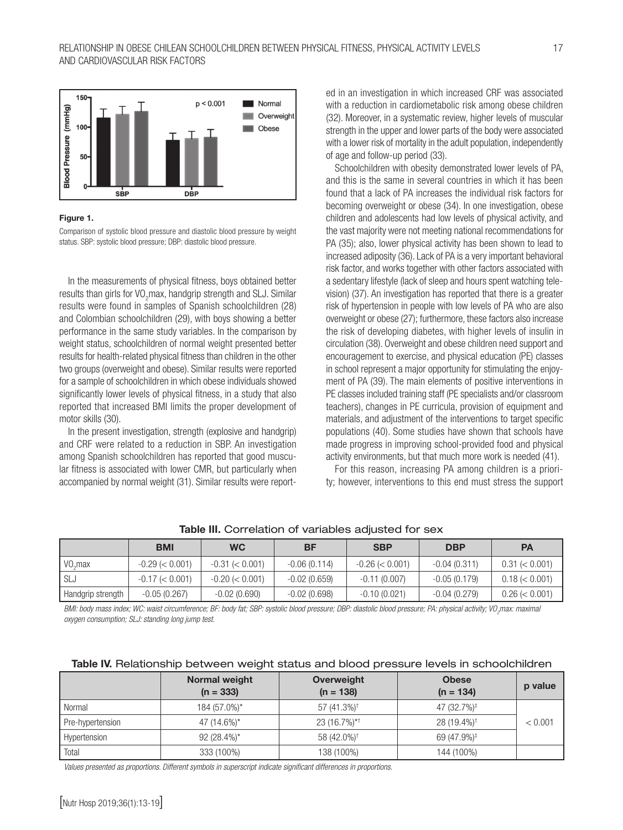

#### Figure 1.

Comparison of systolic blood pressure and diastolic blood pressure by weight status. SBP: systolic blood pressure; DBP: diastolic blood pressure.

In the measurements of physical fitness, boys obtained better results than girls for VO<sub>2</sub>max, handgrip strength and SLJ. Similar results were found in samples of Spanish schoolchildren (28) and Colombian schoolchildren (29), with boys showing a better performance in the same study variables. In the comparison by weight status, schoolchildren of normal weight presented better results for health-related physical fitness than children in the other two groups (overweight and obese). Similar results were reported for a sample of schoolchildren in which obese individuals showed significantly lower levels of physical fitness, in a study that also reported that increased BMI limits the proper development of motor skills (30).

In the present investigation, strength (explosive and handgrip) and CRF were related to a reduction in SBP. An investigation among Spanish schoolchildren has reported that good muscular fitness is associated with lower CMR, but particularly when accompanied by normal weight (31). Similar results were reported in an investigation in which increased CRF was associated with a reduction in cardiometabolic risk among obese children (32). Moreover, in a systematic review, higher levels of muscular strength in the upper and lower parts of the body were associated with a lower risk of mortality in the adult population, independently of age and follow-up period (33).

Schoolchildren with obesity demonstrated lower levels of PA, and this is the same in several countries in which it has been found that a lack of PA increases the individual risk factors for becoming overweight or obese (34). In one investigation, obese children and adolescents had low levels of physical activity, and the vast majority were not meeting national recommendations for PA (35); also, lower physical activity has been shown to lead to increased adiposity (36). Lack of PA is a very important behavioral risk factor, and works together with other factors associated with a sedentary lifestyle (lack of sleep and hours spent watching television) (37). An investigation has reported that there is a greater risk of hypertension in people with low levels of PA who are also overweight or obese (27); furthermore, these factors also increase the risk of developing diabetes, with higher levels of insulin in circulation (38). Overweight and obese children need support and encouragement to exercise, and physical education (PE) classes in school represent a major opportunity for stimulating the enjoyment of PA (39). The main elements of positive interventions in PE classes included training staff (PE specialists and/or classroom teachers), changes in PE curricula, provision of equipment and materials, and adjustment of the interventions to target specific populations (40). Some studies have shown that schools have made progress in improving school-provided food and physical activity environments, but that much more work is needed (41).

For this reason, increasing PA among children is a priority; however, interventions to this end must stress the support

|                            | <b>BMI</b>        | <b>WC</b>         | ΒF             | <b>SBP</b>        | <b>DBP</b>     | <b>PA</b>        |
|----------------------------|-------------------|-------------------|----------------|-------------------|----------------|------------------|
| $\mathsf{VO}_{\alpha}$ max | $-0.29 \le 0.001$ | $-0.31 \le 0.001$ | $-0.06(0.114)$ | $-0.26 \le 0.001$ | $-0.04(0.311)$ | $0.31 \le 0.001$ |
| ' SLJ                      | $-0.17 \le 0.001$ | $-0.20 \le 0.001$ | $-0.02(0.659)$ | $-0.11(0.007)$    | $-0.05(0.179)$ | $0.18 \le 0.001$ |
| Handgrip strength          | $-0.05(0.267)$    | $-0.02(0.690)$    | $-0.02(0.698)$ | $-0.10(0.021)$    | $-0.04(0.279)$ | $0.26 \le 0.001$ |

Table III. Correlation of variables adjusted for sex

*BMI: body mass index; WC: waist circumference; BF: body fat; SBP: systolic blood pressure; DBP: diastolic blood pressure; PA: physical activity; VO2 max: maximal oxygen consumption; SLJ: standing long jump test.*

|  |  |  |  | Table IV. Relationship between weight status and blood pressure levels in schoolchildren |
|--|--|--|--|------------------------------------------------------------------------------------------|
|  |  |  |  |                                                                                          |

|                  | <b>Normal weight</b><br>$(n = 333)$ | Overweight<br>$(n = 138)$ | <b>Obese</b><br>$(n = 134)$ | p value |
|------------------|-------------------------------------|---------------------------|-----------------------------|---------|
| Normal           | 184 (57.0%)*                        | 57 (41.3%) <sup>†</sup>   | 47 (32.7%) <sup>‡</sup>     |         |
| Pre-hypertension | 47 (14.6%)*                         | 23 (16.7%)*†              | 28 (19.4%) <sup>†</sup>     | < 0.001 |
| Hypertension     | $92(28.4\%)*$                       | 58 (42.0%) <sup>†</sup>   | 69 (47.9%) <sup>‡</sup>     |         |
| Total            | 333 (100%)                          | 138 (100%)                | 144 (100%)                  |         |

*Values presented as proportions. Different symbols in superscript indicate significant differences in proportions.*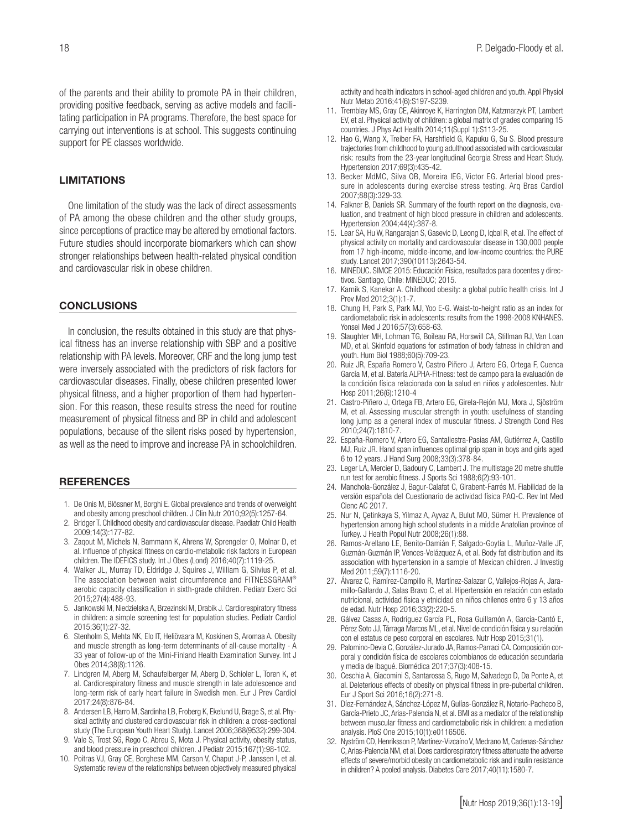of the parents and their ability to promote PA in their children, providing positive feedback, serving as active models and facilitating participation in PA programs. Therefore, the best space for carrying out interventions is at school. This suggests continuing support for PE classes worldwide.

#### LIMITATIONS

One limitation of the study was the lack of direct assessments of PA among the obese children and the other study groups, since perceptions of practice may be altered by emotional factors. Future studies should incorporate biomarkers which can show stronger relationships between health-related physical condition and cardiovascular risk in obese children.

#### **CONCLUSIONS**

In conclusion, the results obtained in this study are that physical fitness has an inverse relationship with SBP and a positive relationship with PA levels. Moreover, CRF and the long jump test were inversely associated with the predictors of risk factors for cardiovascular diseases. Finally, obese children presented lower physical fitness, and a higher proportion of them had hypertension. For this reason, these results stress the need for routine measurement of physical fitness and BP in child and adolescent populations, because of the silent risks posed by hypertension, as well as the need to improve and increase PA in schoolchildren.

#### **REFERENCES**

- 1. De Onis M, Blössner M, Borghi E. Global prevalence and trends of overweight and obesity among preschool children. J Clin Nutr 2010;92(5):1257-64.
- 2. Bridger T. Childhood obesity and cardiovascular disease. Paediatr Child Health 2009;14(3):177-82.
- 3. Zaqout M, Michels N, Bammann K, Ahrens W, Sprengeler O, Molnar D, et al. Influence of physical fitness on cardio-metabolic risk factors in European children. The IDEFICS study. Int J Obes (Lond) 2016;40(7):1119-25.
- 4. Walker JL, Murray TD, Eldridge J, Squires J, William G, Silvius P, et al. The association between waist circumference and FITNESSGRAM® aerobic capacity classification in sixth-grade children. Pediatr Exerc Sci 2015;27(4):488-93.
- 5. Jankowski M, Niedzielska A, Brzezinski M, Drabik J. Cardiorespiratory fitness in children: a simple screening test for population studies. Pediatr Cardiol 2015;36(1):27-32.
- 6. Stenholm S, Mehta NK, Elo IT, Heliövaara M, Koskinen S, Aromaa A. Obesity and muscle strength as long-term determinants of all-cause mortality - A 33 year of follow-up of the Mini-Finland Health Examination Survey. Int J Obes 2014;38(8):1126.
- 7. Lindgren M, Aberg M, Schaufelberger M, Aberg D, Schioler L, Toren K, et al. Cardiorespiratory fitness and muscle strength in late adolescence and long-term risk of early heart failure in Swedish men. Eur J Prev Cardiol 2017;24(8):876-84.
- 8. Andersen LB, Harro M, Sardinha LB, Froberg K, Ekelund U, Brage S, et al. Physical activity and clustered cardiovascular risk in children: a cross-sectional study (The European Youth Heart Study). Lancet 2006;368(9532):299-304.
- 9. Vale S, Trost SG, Rego C, Abreu S, Mota J. Physical activity, obesity status, and blood pressure in preschool children. J Pediatr 2015;167(1):98-102.
- 10. Poitras VJ, Gray CE, Borghese MM, Carson V, Chaput J-P, Janssen I, et al. Systematic review of the relationships between objectively measured physical

activity and health indicators in school-aged children and youth. Appl Physiol Nutr Metab 2016;41(6):S197-S239.

- 11. Tremblay MS, Gray CE, Akinroye K, Harrington DM, Katzmarzyk PT, Lambert EV, et al. Physical activity of children: a global matrix of grades comparing 15 countries. J Phys Act Health 2014;11(Suppl 1):S113-25.
- 12. Hao G, Wang X, Treiber FA, Harshfield G, Kapuku G, Su S. Blood pressure trajectories from childhood to young adulthood associated with cardiovascular risk: results from the 23-year longitudinal Georgia Stress and Heart Study. Hypertension 2017;69(3):435-42.
- 13. Becker MdMC, Silva OB, Moreira IEG, Victor EG. Arterial blood pressure in adolescents during exercise stress testing. Arq Bras Cardiol 2007;88(3):329-33.
- 14. Falkner B, Daniels SR. Summary of the fourth report on the diagnosis, evaluation, and treatment of high blood pressure in children and adolescents. Hypertension 2004;44(4):387-8.
- 15. Lear SA, Hu W, Rangarajan S, Gasevic D, Leong D, Iqbal R, et al. The effect of physical activity on mortality and cardiovascular disease in 130,000 people from 17 high-income, middle-income, and low-income countries: the PURE study. Lancet 2017;390(10113):2643-54.
- 16. MINEDUC. SIMCE 2015: Educación Física, resultados para docentes y directivos. Santiago, Chile: MINEDUC; 2015.
- 17. Karnik S, Kanekar A. Childhood obesity: a global public health crisis. Int J Prev Med 2012;3(1):1-7.
- 18. Chung IH, Park S, Park MJ, Yoo E-G. Waist-to-height ratio as an index for cardiometabolic risk in adolescents: results from the 1998-2008 KNHANES. Yonsei Med J 2016;57(3):658-63.
- 19. Slaughter MH, Lohman TG, Boileau RA, Horswill CA, Stillman RJ, Van Loan MD, et al. Skinfold equations for estimation of body fatness in children and youth. Hum Biol 1988;60(5):709-23.
- 20. Ruiz JR, España Romero V, Castro Piñero J, Artero EG, Ortega F, Cuenca García M, et al. Batería ALPHA-Fitness: test de campo para la evaluación de la condición física relacionada con la salud en niños y adolescentes. Nutr Hosp 2011;26(6):1210-4
- 21. Castro-Piñero J, Ortega FB, Artero EG, Girela-Rejón MJ, Mora J, Sjöström M, et al. Assessing muscular strength in youth: usefulness of standing long jump as a general index of muscular fitness. J Strength Cond Res 2010;24(7):1810-7.
- 22. España-Romero V, Artero EG, Santaliestra-Pasias AM, Gutiérrez A, Castillo MJ, Ruiz JR. Hand span influences optimal grip span in boys and girls aged 6 to 12 years. J Hand Surg 2008;33(3):378-84.
- 23. Leger LA, Mercier D, Gadoury C, Lambert J. The multistage 20 metre shuttle run test for aerobic fitness. J Sports Sci 1988;6(2):93-101.
- 24. Manchola-González J, Bagur-Calafat C, Girabent-Farrés M. Fiabilidad de la versión española del Cuestionario de actividad física PAQ-C. Rev Int Med Cienc AC 2017.
- 25. Nur N, Çetinkaya S, Yilmaz A, Ayvaz A, Bulut MO, Sümer H. Prevalence of hypertension among high school students in a middle Anatolian province of Turkey. J Health Popul Nutr 2008;26(1):88.
- 26. Ramos-Arellano LE, Benito-Damián F, Salgado-Goytia L, Muñoz-Valle JF, Guzmán-Guzmán IP, Vences-Velázquez A, et al. Body fat distribution and its association with hypertension in a sample of Mexican children. J Investig Med 2011;59(7):1116-20.
- 27. Álvarez C, Ramírez-Campillo R, Martínez-Salazar C, Vallejos-Rojas A, Jaramillo-Gallardo J, Salas Bravo C, et al. Hipertensión en relación con estado nutricional, actividad física y etnicidad en niños chilenos entre 6 y 13 años de edad. Nutr Hosp 2016;33(2):220-5.
- 28. Gálvez Casas A, Rodríguez García PL, Rosa Guillamón A, García-Cantó E, Pérez Soto JJ, Tárraga Marcos ML, et al. Nivel de condición física y su relación con el estatus de peso corporal en escolares. Nutr Hosp 2015;31(1).
- 29. Palomino-Devia C, González-Jurado JA, Ramos-Parraci CA. Composición corporal y condición física de escolares colombianos de educación secundaria y media de Ibagué. Biomédica 2017;37(3):408-15.
- 30. Ceschia A, Giacomini S, Santarossa S, Rugo M, Salvadego D, Da Ponte A, et al. Deleterious effects of obesity on physical fitness in pre-pubertal children. Eur J Sport Sci 2016;16(2):271-8.
- 31. Díez-Fernández A, Sánchez-López M, Gulías-González R, Notario-Pacheco B, García-Prieto JC, Arias-Palencia N, et al. BMI as a mediator of the relationship between muscular fitness and cardiometabolic risk in children: a mediation analysis. PloS One 2015;10(1):e0116506.
- 32. Nyström CD, Henriksson P, Martínez-Vizcaíno V, Medrano M, Cadenas-Sánchez C, Arias-Palencia NM, et al. Does cardiorespiratory fitness attenuate the adverse effects of severe/morbid obesity on cardiometabolic risk and insulin resistance in children? A pooled analysis. Diabetes Care 2017;40(11):1580-7.